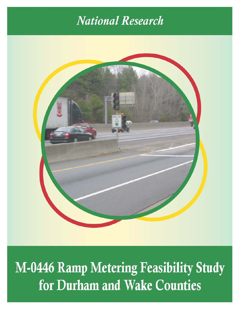# **National Research**



**M-0446 Ramp Metering Feasibility Study** for Durham and Wake Counties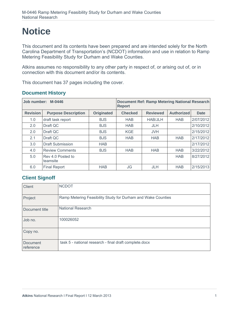# **Notice**

This document and its contents have been prepared and are intended solely for the North Carolina Department of Transportation's (NCDOT) information and use in relation to Ramp Metering Feasibility Study for Durham and Wake Counties.

Atkins assumes no responsibility to any other party in respect of, or arising out of, or in connection with this document and/or its contents.

This document has 37 pages including the cover.

| <b>Document History</b> |  |
|-------------------------|--|
|-------------------------|--|

| M-0446<br>Job number: |                               |                   | <b>Document Ref: Ramp Metering National Research</b><br><b>Report</b> |                 |                   |             |
|-----------------------|-------------------------------|-------------------|-----------------------------------------------------------------------|-----------------|-------------------|-------------|
| <b>Revision</b>       | <b>Purpose Description</b>    | <b>Originated</b> | <b>Checked</b>                                                        | <b>Reviewed</b> | <b>Authorized</b> | <b>Date</b> |
| 1.0                   | draft task report             | <b>BJS</b>        | <b>HAB</b>                                                            | <b>HAB/JLH</b>  | <b>HAB</b>        | 2/07/2012   |
| 2.0                   | Draft QC                      | <b>BJS</b>        | <b>HAB</b>                                                            | <b>JLH</b>      |                   | 2/10/2012   |
| 2.0                   | Draft QC                      | <b>BJS</b>        | <b>KGE</b>                                                            | <b>JVH</b>      |                   | 2/15/2012   |
| 2.1                   | Draft QC                      | <b>BJS</b>        | <b>HAB</b>                                                            | <b>HAB</b>      | <b>HAB</b>        | 2/17/2012   |
| 3.0                   | <b>Draft Submission</b>       | <b>HAB</b>        |                                                                       |                 |                   | 2/17/2012   |
| 4.0                   | <b>Review Comments</b>        | <b>BJS</b>        | <b>HAB</b>                                                            | <b>HAB</b>      | <b>HAB</b>        | 3/22/2012   |
| 5.0                   | Rev 4.0 Posted to<br>teamsite |                   |                                                                       |                 | <b>HAB</b>        | 8/27/2012   |
| 6.0                   | <b>Final Report</b>           | <b>HAB</b>        | JG                                                                    | <b>JLH</b>      | <b>HAB</b>        | 2/15/2013   |

## **Client Signoff**

| <b>Client</b>                | <b>NCDOT</b>                                                 |
|------------------------------|--------------------------------------------------------------|
| Project                      | Ramp Metering Feasibility Study for Durham and Wake Counties |
| Document title               | <b>National Research</b>                                     |
| Job no.                      | 100026052                                                    |
| Copy no.                     |                                                              |
| <b>Document</b><br>reference | task 5 - national research - final draft complete.docx       |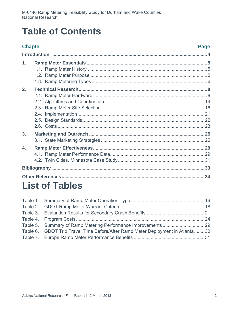# **Table of Contents**

# **Chapter**

## **Page**

| $\mathbf{1}$ .   |  |
|------------------|--|
| 2.               |  |
| 3.               |  |
| $\overline{4}$ . |  |
|                  |  |
|                  |  |

# **List of Tables**

| Table 6. GDOT Trip Travel Time Before/After Ramp Meter Deployment in Atlanta30 |  |
|--------------------------------------------------------------------------------|--|
|                                                                                |  |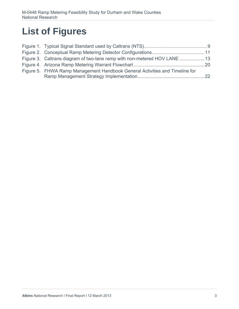# **List of Figures**

| Figure 5. FHWA Ramp Management Handbook General Activities and Timeline for |  |
|-----------------------------------------------------------------------------|--|
|                                                                             |  |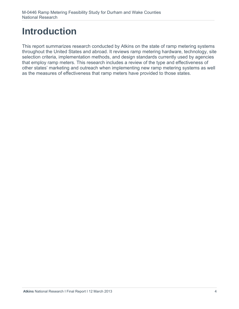# **Introduction**

This report summarizes research conducted by Atkins on the state of ramp metering systems throughout the United States and abroad. It reviews ramp metering hardware, technology, site selection criteria, implementation methods, and design standards currently used by agencies that employ ramp meters. This research includes a review of the type and effectiveness of other states' marketing and outreach when implementing new ramp metering systems as well as the measures of effectiveness that ramp meters have provided to those states.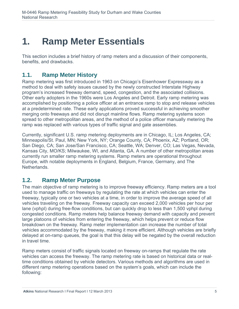# **1. Ramp Meter Essentials**

This section includes a brief history of ramp meters and a discussion of their components, benefits, and drawbacks.

# **1.1. Ramp Meter History**

Ramp metering was first introduced in 1963 on Chicago's Eisenhower Expressway as a method to deal with safety issues caused by the newly constructed Interstate Highway program's increased freeway demand, speed, congestion, and the associated collisions. Other early adopters in the 1960s were Los Angeles and Detroit. Early ramp metering was accomplished by positioning a police officer at an entrance ramp to stop and release vehicles at a predetermined rate. These early applications proved successful in achieving smoother merging onto freeways and did not disrupt mainline flows. Ramp metering systems soon spread to other metropolitan areas, and the method of a police officer manually metering the ramp was replaced with various types of traffic signal and gate assemblies.

Currently, significant U.S. ramp metering deployments are in Chicago, IL; Los Angeles, CA; Minneapolis/St. Paul, MN; New York, NY; Orange County, CA; Phoenix, AZ; Portland, OR; San Diego, CA; San Jose/San Francisco, CA; Seattle, WA; Denver, CO; Las Vegas, Nevada, Kansas City, MO/KS; Milwaukee, WI, and Atlanta, GA. A number of other metropolitan areas currently run smaller ramp metering systems. Ramp meters are operational throughout Europe, with notable deployments in England, Belgium, France, Germany, and The Netherlands.

# **1.2. Ramp Meter Purpose**

The main objective of ramp metering is to improve freeway efficiency. Ramp meters are a tool used to manage traffic on freeways by regulating the rate at which vehicles can enter the freeway, typically one or two vehicles at a time, in order to improve the average speed of all vehicles traveling on the freeway. Freeway capacity can exceed 2,000 vehicles per hour per lane (vphpl) during free-flow conditions, but can quickly drop to less than 1,500 vphpl during congested conditions. Ramp meters help balance freeway demand with capacity and prevent large platoons of vehicles from entering the freeway, which helps prevent or reduce flow breakdown on the freeway. Ramp meter implementation can increase the number of total vehicles accommodated by the freeway, making it more efficient. Although vehicles are briefly delayed at on-ramp queues, the goal is that this delay will be negated by the overall reduction in travel time.

Ramp meters consist of traffic signals located on freeway on-ramps that regulate the rate vehicles can access the freeway. The ramp metering rate is based on historical data or realtime conditions obtained by vehicle detectors. Various methods and algorithms are used in different ramp metering operations based on the system's goals, which can include the following: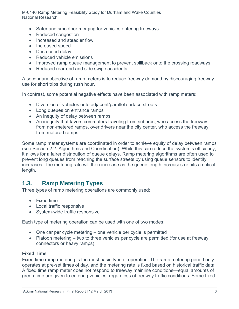- Safer and smoother merging for vehicles entering freeways
- Reduced congestion
- Increased and steadier flow
- Increased speed
- Decreased delay
- Reduced vehicle emissions
- Improved ramp queue management to prevent spillback onto the crossing roadways
- Reduced rear-end and side swipe accidents

A secondary objective of ramp meters is to reduce freeway demand by discouraging freeway use for short trips during rush hour.

In contrast, some potential negative effects have been associated with ramp meters:

- Diversion of vehicles onto adjacent/parallel surface streets
- Long queues on entrance ramps
- An inequity of delay between ramps
- An inequity that favors commuters traveling from suburbs, who access the freeway from non-metered ramps, over drivers near the city center, who access the freeway from metered ramps.

Some ramp meter systems are coordinated in order to achieve equity of delay between ramps (see Section 2.2: Algorithms and Coordination). While this can reduce the system's efficiency, it allows for a fairer distribution of queue delays. Ramp metering algorithms are often used to prevent long queues from reaching the surface streets by using queue sensors to identify increases. The metering rate will then increase as the queue length increases or hits a critical length.

# **1.3. Ramp Metering Types**

Three types of ramp metering operations are commonly used:

- Fixed time
- Local traffic responsive
- System-wide traffic responsive

Each type of metering operation can be used with one of two modes:

- One car per cycle metering one vehicle per cycle is permitted
- Platoon metering two to three vehicles per cycle are permitted (for use at freeway connectors or heavy ramps)

### **Fixed Time**

Fixed time ramp metering is the most basic type of operation. The ramp metering period only operates at pre-set times of day, and the metering rate is fixed based on historical traffic data. A fixed time ramp meter does not respond to freeway mainline conditions—equal amounts of green time are given to entering vehicles, regardless of freeway traffic conditions. Some fixed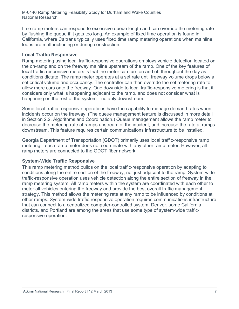time ramp meters can respond to excessive queue length and can override the metering rate by flushing the queue if it gets too long. An example of fixed time operation is found in California, where Caltrans typically uses fixed time ramp metering operations when mainline loops are malfunctioning or during construction.

## **Local Traffic Responsive**

Ramp metering using local traffic-responsive operations employs vehicle detection located on the on-ramp and on the freeway mainline upstream of the ramp. One of the key features of local traffic-responsive meters is that the meter can turn on and off throughout the day as conditions dictate. The ramp meter operates at a set rate until freeway volume drops below a set critical volume and occupancy. The controller can then override the set metering rate to allow more cars onto the freeway. One downside to local traffic-responsive metering is that it considers only what is happening adjacent to the ramp, and does not consider what is happening on the rest of the system—notably downstream.

Some local traffic-responsive operations have the capability to manage demand rates when incidents occur on the freeway. (The queue management feature is discussed in more detail in Section 2.2, Algorithms and Coordination.) Queue management allows the ramp meter to decrease the metering rate at ramps upstream of the incident, and increase the rate at ramps downstream. This feature requires certain communications infrastructure to be installed.

Georgia Department of Transportation (GDOT) primarily uses local traffic-responsive ramp metering—each ramp meter does not coordinate with any other ramp meter. However, all ramp meters are connected to the GDOT fiber network.

### **System-Wide Traffic Responsive**

This ramp metering method builds on the local traffic-responsive operation by adapting to conditions along the entire section of the freeway, not just adjacent to the ramp. System-wide traffic-responsive operation uses vehicle detection along the entire section of freeway in the ramp metering system. All ramp meters within the system are coordinated with each other to meter all vehicles entering the freeway and provide the best overall traffic management strategy. This method allows the metering rate at any ramp to be influenced by conditions at other ramps. System-wide traffic-responsive operation requires communications infrastructure that can connect to a centralized computer-controlled system. Denver, some California districts, and Portland are among the areas that use some type of system-wide trafficresponsive operation.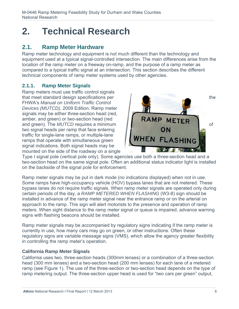# **2. Technical Research**

# **2.1. Ramp Meter Hardware**

Ramp meter technology and equipment is not much different than the technology and equipment used at a typical signal-controlled intersection. The main differences arise from the location of the ramp meter on a freeway on-ramp, and the purpose of a ramp meter as compared to a typical traffic signal at an intersection. This section describes the different technical components of ramp meter systems used by other agencies.

# **2.1.1. Ramp Meter Signals**

Ramp meters must use traffic control signals that meet standard design specifications per the the the FHWA's *Manual on Uniform Traffic Control Devices (MUTCD)*, 2009 Edition. Ramp meter signals may be either three-section head (red, amber, and green) or two-section head (red amber, and green) or two-section head (red<br>and green). The *MUTCD* requires a minimum two signal heads per ramp that face entering traffic for single-lane ramps, or multiple-lane ramps that operate with simultaneous green signal indications. Both signal heads may be mounted on the side of the roadway on a single



Type I signal pole (vertical pole only). Some agencies use both a three-section head and a two-section head on the same signal pole. Often an additional status indicator light is installed on the backside of the signal pole for enforcement.

Ramp meter signals may be put in dark mode (no indications displayed) when not in use. Some ramps have high-occupancy vehicle (HOV) bypass lanes that are not metered. These bypass lanes do not require traffic signals. When ramp meter signals are operated only during certain periods of the day, a *RAMP METERED WHEN FLASHING* (W3-8) sign should be installed in advance of the ramp meter signal near the entrance ramp or on the arterial on approach to the ramp. This sign will alert motorists to the presence and operation of ramp meters. When sight distance to the ramp meter signal or queue is impaired, advance warning signs with flashing beacons should be installed.

Ramp meter signals may be accompanied by regulatory signs indicating if the ramp meter is currently in use, how many cars may go on green, or other instructions. Often these regulatory signs are variable message signs (VMS), which allow the agency greater flexibility in controlling the ramp meter's operation.

## **California Ramp Meter Signals**

California uses two, three-section heads (300mm lenses) or a combination of a three-section head (300 mm lenses) and a two-section head (200 mm lenses) for each lane of a metered ramp (see Figure 1). The use of the three-section or two-section head depends on the type of ramp metering output. The three-section upper head is used for "two cars per green" output,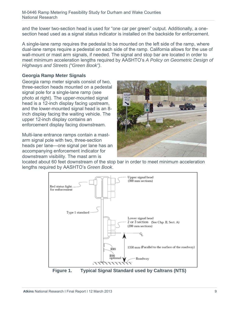and the lower two-section head is used for "one car per green" output. Additionally, a onesection head used as a signal status indicator is installed on the backside for enforcement.

A single-lane ramp requires the pedestal to be mounted on the left side of the ramp, where dual-lane ramps require a pedestal on each side of the ramp. California allows for the use of wall-mount or mast arm signals, if needed. The signal and stop bar are located in order to meet minimum acceleration lengths required by AASHTO's *A Policy on Geometric Design of Highways and Streets ("Green Book")*.

## **Georgia Ramp Meter Signals**

Georgia ramp meter signals consist of two, three-section heads mounted on a pedestal signal pole for a single-lane ramp (see photo at right). The upper-mounted signal head is a 12-inch display facing upstream, and the lower-mounted signal head is an 8 inch display facing the waiting vehicle. The upper 12-inch display contains an enforcement display facing downstream.

Multi-lane entrance ramps contain a mastarm signal pole with two, three-section heads per lane—one signal per lane has an accompanying enforcement indicator for downstream visibility. The mast arm is



located about 60 feet downstream of the stop bar in order to meet minimum acceleration lengths required by AASHTO's *Green Book*.



**Figure 1. Typical Signal Standard used by Caltrans (NTS)**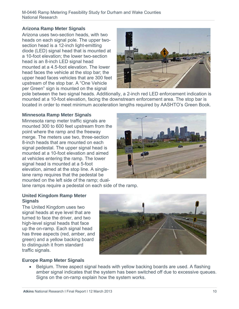## **Arizona Ramp Meter Signals**

Arizona uses two-section heads, with two heads on each signal pole. The upper twosection head is a 12-inch light-emitting diode (LED) signal head that is mounted at a 10-foot elevation; the lower two-section head is an 8-inch LED signal head mounted at a 4.5-foot elevation. The lower head faces the vehicle at the stop bar; the upper head faces vehicles that are 300 feet upstream of the stop bar. A "One Vehicle per Green" sign is mounted on the signal



pole between the two signal heads. Additionally, a 2-inch red LED enforcement indication is mounted at a 10-foot elevation, facing the downstream enforcement area. The stop bar is located in order to meet minimum acceleration lengths required by AASHTO's Green Book.

## **Minnesota Ramp Meter Signals**

Minnesota ramp meter traffic signals are mounted 300 to 600 feet upstream from the point where the ramp and the freeway merge. The meters use two, three-section 8-inch heads that are mounted on each signal pedestal. The upper signal head is mounted at a 10-foot elevation and aimed at vehicles entering the ramp. The lower signal head is mounted at a 5-foot elevation, aimed at the stop line. A singlelane ramp requires that the pedestal be mounted on the left side of the ramp; dual-



lane ramps require a pedestal on each side of the ramp.

### **United Kingdom Ramp Meter Signals**

The United Kingdom uses two signal heads at eye level that are turned to face the driver, and two high-level signal heads that face up the on-ramp. Each signal head has three aspects (red, amber, and green) and a yellow backing board to distinguish it from standard traffic signals.



## **Europe Ramp Meter Signals**

• Belgium. Three aspect signal heads with yellow backing boards are used. A flashing amber signal indicates that the system has been switched off due to excessive queues. Signs on the on-ramp explain how the system works.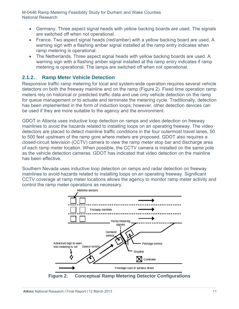- Germany. Three aspect signal heads with yellow backing boards are used. The signals are switched off when not operational.
- France. Two aspect signal heads (red/amber) with a yellow backing board are used. A warning sign with a flashing amber signal installed at the ramp entry indicates when ramp metering is operational.
- The Netherlands. Three aspect signal heads with yellow backing boards are used. A warning sign with a flashing amber signal installed at the ramp entry indicates if ramp metering is operational. The lamps are switched off when not operational.

## **2.1.2. Ramp Meter Vehicle Detection**

Responsive traffic ramp metering for local and system-wide operation requires several vehicle detectors on both the freeway mainline and on the ramp (Figure 2). Fixed time operation ramp meters rely on historical or predicted traffic data and use only vehicle detection on the ramp for queue management or to actuate and terminate the metering cycle. Traditionally, detection has been implemented in the form of induction loops; however, other detection devices can be used if they are more suitable to the agency and the environment.

GDOT in Atlanta uses inductive loop detection on ramps and video detection on freeway mainlines to avoid the hazards related to installing loops on an operating freeway. The video detectors are placed to detect mainline traffic conditions in the four outermost travel lanes, 50 to 500 feet upstream of the ramp gore where meters are proposed. GDOT also requires a closed-circuit television (CCTV) camera to view the ramp meter stop bar and discharge area of each ramp meter location. When possible, the CCTV camera is installed on the same pole as the vehicle detection cameras. GDOT has indicated that video detection on the mainline has been effective.

Southern Nevada uses inductive loop detection on ramps and radar detection on freeway mainlines to avoid hazards related to installing loops on an operating freeway. Significant CCTV coverage at ramp meter locations allows the agency to monitor ramp meter activity and control the ramp meter operations as necessary.



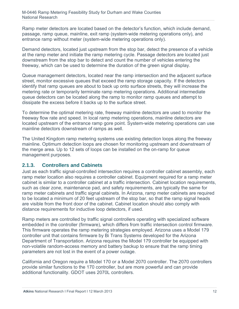Ramp meter detectors are located based on the detector's function, which include demand, passage, ramp queue, mainline, exit ramp (system-wide metering operations only), and entrance ramp without meter (system-wide metering operations only).

Demand detectors, located just upstream from the stop bar, detect the presence of a vehicle at the ramp meter and initiate the ramp metering cycle. Passage detectors are located just downstream from the stop bar to detect and count the number of vehicles entering the freeway, which can be used to determine the duration of the green signal display.

Queue management detectors, located near the ramp intersection and the adjacent surface street, monitor excessive queues that exceed the ramp storage capacity. If the detectors identify that ramp queues are about to back up onto surface streets, they will increase the metering rate or temporarily terminate ramp metering operations. Additional intermediate queue detectors can be located along the ramp to monitor ramp queues and attempt to dissipate the excess before it backs up to the surface street.

To determine the optimal metering rate, freeway mainline detectors are used to monitor the freeway flow rate and speed. In local ramp metering operations, mainline detectors are located upstream of the entrance ramp gore point. System-wide metering operations can use mainline detectors downstream of ramps as well.

The United Kingdom ramp metering systems use existing detection loops along the freeway mainline. Optimum detection loops are chosen for monitoring upstream and downstream of the merge area. Up to 12 sets of loops can be installed on the on-ramp for queue management purposes.

# **2.1.3. Controllers and Cabinets**

Just as each traffic signal-controlled intersection requires a controller cabinet assembly, each ramp meter location also requires a controller cabinet. Equipment required for a ramp meter cabinet is similar to a controller cabinet at a traffic intersection. Cabinet location requirements, such as clear zone, maintenance pad, and safety requirements, are typically the same for ramp meter cabinets and traffic signal cabinets. In Arizona, ramp meter cabinets are required to be located a minimum of 20 feet upstream of the stop bar, so that the ramp signal heads are visible from the front door of the cabinet. Cabinet location should also comply with distance requirements for inductive loop detectors, if used.

Ramp meters are controlled by traffic signal controllers operating with specialized software embedded in the controller (firmware), which differs from traffic intersection control firmware. This firmware operates the ramp metering strategies employed. Arizona uses a Model 179 controller unit that contains firmware by Bi Trans Systems developed for the Arizona Department of Transportation. Arizona requires the Model 179 controller be equipped with non-volatile random-access memory and battery backup to ensure that the ramp timing parameters are not lost in the event of a power outage.

California and Oregon require a Model 170 or a Model 2070 controller. The 2070 controllers provide similar functions to the 170 controller, but are more powerful and can provide additional functionality. GDOT uses 2070L controllers.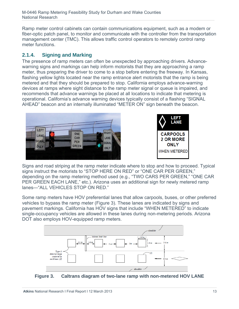Ramp meter control cabinets can contain communications equipment, such as a modem or fiber-optic patch panel, to monitor and communicate with the controller from the transportation management center (TMC). This allows traffic control operators to remotely control ramp meter functions.

# **2.1.4. Signing and Marking**

The presence of ramp meters can often be unexpected by approaching drivers. Advancewarning signs and markings can help inform motorists that they are approaching a ramp meter, thus preparing the driver to come to a stop before entering the freeway. In Kansas, flashing yellow lights located near the ramp entrance alert motorists that the ramp is being metered and that they should be prepared to stop. California employs advance-warning devices at ramps where sight distance to the ramp meter signal or queue is impaired, and recommends that advance warnings be placed at all locations to indicate that metering is operational. California's advance warning devices typically consist of a flashing "SIGNAL AHEAD" beacon and an internally illuminated "METER ON" sign beneath the beacon.





Signs and road striping at the ramp meter indicate where to stop and how to proceed. Typical signs instruct the motorists to "STOP HERE ON RED" or "ONE CAR PER GREEN," depending on the ramp metering method used (e.g., "TWO CARS PER GREEN," "ONE CAR PER GREEN EACH LANE," etc.). Arizona uses an additional sign for newly metered ramp lanes—"ALL VEHICLES STOP ON RED."

Some ramp meters have HOV preferential lanes that allow carpools, buses, or other preferred vehicles to bypass the ramp meter (Figure 3). These lanes are indicated by signs and pavement markings. California has HOV signs that include "WHEN METERED" to indicate single-occupancy vehicles are allowed in these lanes during non-metering periods. Arizona DOT also employs HOV-equipped ramp meters.



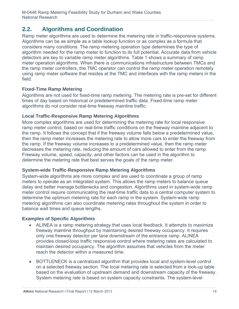# **2.2. Algorithms and Coordination**

Ramp meter algorithms are used to determine the metering rate in traffic-responsive systems. Algorithms can be as simple as a table lookup function or as complex as a formula that considers many conditions. The ramp metering operation type determines the type of algorithm needed for the ramp meter to function to its full potential. Accurate data from vehicle detectors are key to variable ramp meter algorithms. Table 1 shows a summary of ramp meter operation algorithms. When there is communications infrastructure between TMCs and the ramp meter controllers, the TMC operator can control the ramp meter operation remotely using ramp meter software that resides at the TMC and interfaces with the ramp meters in the field.

## **Fixed-Time Ramp Metering**

Algorithms are not used for fixed-time ramp metering. The metering rate is pre-set for different times of day based on historical or predetermined traffic data. Fixed-time ramp meter algorithms do not consider real-time freeway mainline traffic.

## **Local Traffic-Responsive Ramp Metering Algorithms**

More complex algorithms are used for determining the metering rate for local responsive ramp meter control, based on real-time traffic conditions on the freeway mainline adjacent to the ramp. It follows the concept that if the freeway volume falls below a predetermined value, then the ramp meter increases the metering rate to allow more cars to enter the freeway from the ramp. If the freeway volume increases to a predetermined value, then the ramp meter decreases the metering rate, reducing the amount of cars allowed to enter from the ramp. Freeway volume, speed, capacity, and other factors can be used in the algorithm to determine the metering rate that best serves the goals of the ramp meter.

## **System-wide Traffic-Responsive Ramp Metering Algorithms**

System-wide algorithms are more complex and are used to coordinate a group of ramp meters to operate as an integrated system. This allows the ramp meters to balance queue delay and better manage bottlenecks and congestion. Algorithms used in system-wide ramp meter control require communicating the real-time traffic data to a central computer system to determine the optimum metering rate for each ramp in the system. System-wide ramp metering algorithms can also coordinate metering rates throughout the system in order to balance wait times and queue lengths.

## **Examples of Specific Algorithms**

- ALINEA is a ramp metering strategy that uses local feedback. It attempts to maximize freeway mainline throughput by maintaining desired freeway occupancy. It requires only one freeway detector per lane downstream of the entrance ramp. ALINEA provides closed-loop traffic responsive control where metering rates are calculated to maintain desired occupancy. The algorithm assumes that vehicles from the meter reach the detector within a measured time.
- BOTTLENECK is a centralized algorithm that provides local and system-level control on a selected freeway section. The local metering rate is selected from a look-up table based on the evaluation of upstream demand and downstream capacity of the freeway. System metering rate is based on system capacity constraints. The system-level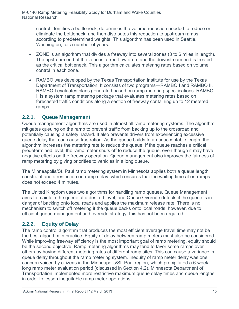control identifies a bottleneck, determines the volume reduction needed to reduce or eliminate the bottleneck, and then distributes this reduction to upstream ramps according to predetermined weights. This algorithm has been used in Seattle, Washington, for a number of years.

- ZONE is an algorithm that divides a freeway into several zones (3 to 6 miles in length). The upstream end of the zone is a free-flow area, and the downstream end is treated as the critical bottleneck. This algorithm calculates metering rates based on volume control in each zone.
- RAMBO was developed by the Texas Transportation Institute for use by the Texas Department of Transportation. It consists of two programs—RAMBO I and RAMBO II. RAMBO I evaluates plans generated based on ramp metering specifications. RAMBO II is a system ramp metering package that evaluates metering rates based on forecasted traffic conditions along a section of freeway containing up to 12 metered ramps.

## **2.2.1. Queue Management**

Queue management algorithms are used in almost all ramp metering systems. The algorithm mitigates queuing on the ramp to prevent traffic from backing up to the crossroad and potentially causing a safety hazard. It also prevents drivers from experiencing excessive queue delay that can cause frustration. As the queue builds to an unacceptable length, the algorithm increases the metering rate to reduce the queue. If the queue reaches a critical predetermined level, the ramp meter shuts off to reduce the queue, even though it may have negative effects on the freeway operation. Queue management also improves the fairness of ramp metering by giving priorities to vehicles in a long queue.

The Minneapolis/St. Paul ramp metering system in Minnesota applies both a queue length constraint and a restriction on-ramp delay, which ensures that the waiting time at on-ramps does not exceed 4 minutes.

The United Kingdom uses two algorithms for handling ramp queues. Queue Management aims to maintain the queue at a desired level, and Queue Override detects if the queue is in danger of backing onto local roads and applies the maximum release rate. There is no mechanism to switch off metering if the queue backs onto local roads; however, due to efficient queue management and override strategy, this has not been required.

## **2.2.2. Equity of Delay**

The ramp control algorithm that produces the most efficient average travel time may not be the best algorithm in practice. Equity of delay between ramp meters must also be considered. While improving freeway efficiency is the most important goal of ramp metering, equity should be the second objective. Ramp metering algorithms may tend to favor some ramps over others by having different metering rates at different ramp sites. This can cause a variance in queue delay throughout the ramp metering system. Inequity of ramp meter delay was one concern voiced by citizens in the Minneapolis/St. Paul region, which precipitated a 6-weeklong ramp meter evaluation period (discussed in Section 4.2). Minnesota Department of Transportation implemented more restrictive maximum queue delay times and queue lengths in order to lessen inequitable ramp meter operations.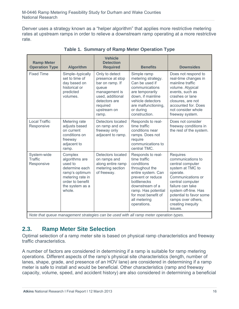Denver uses a strategy known as a "helper algorithm" that applies more restrictive metering rates at upstream ramps in order to relieve a downstream ramp operating at a more restrictive rate.

| <b>Ramp Meter</b><br><b>Operation Type</b>  | <b>Algorithm</b>                                                                                                                              | <b>Vehicle</b><br><b>Detection</b><br><b>Required</b>                                                                                                    | <b>Benefits</b>                                                                                                                                                                                                             | <b>Downsides</b>                                                                                                                                                                                                                                               |
|---------------------------------------------|-----------------------------------------------------------------------------------------------------------------------------------------------|----------------------------------------------------------------------------------------------------------------------------------------------------------|-----------------------------------------------------------------------------------------------------------------------------------------------------------------------------------------------------------------------------|----------------------------------------------------------------------------------------------------------------------------------------------------------------------------------------------------------------------------------------------------------------|
| <b>Fixed Time</b>                           | Simple-typically<br>set to time of<br>day based on<br>historical or<br>predicted<br>volumes.                                                  | Only to detect<br>presence at stop<br>bar on ramp. If<br>queue<br>management is<br>used, additional<br>detectors are<br>required<br>upstream on<br>ramp. | Simple ramp<br>metering strategy.<br>Can be used if<br>communications<br>are temporarily<br>down, if mainline<br>vehicle detectors<br>are malfunctioning,<br>or during<br>construction.                                     | Does not respond to<br>real-time changes in<br>mainline traffic<br>volume. Atypical<br>events, such as<br>crashes or lane<br>closures, are not<br>accounted for, Does<br>not consider whole<br>freeway system.                                                 |
| <b>Local Traffic</b><br>Responsive          | Metering rate<br>adjusts based<br>on current<br>conditions on<br>freeway<br>adjacent to<br>ramp.                                              | Detectors located<br>on ramp and on<br>freeway only<br>adjacent to ramp.                                                                                 | Responds to real-<br>time traffic<br>conditions near<br>ramps. Does not<br>require<br>communications to<br>central TMC.                                                                                                     | Does not consider<br>freeway conditions in<br>the rest of the system.                                                                                                                                                                                          |
| System-wide<br><b>Traffic</b><br>Responsive | Complex<br>algorithms are<br>used to<br>determine each<br>ramp's optimum<br>metering rate in<br>order to benefit<br>the system as a<br>whole. | Detectors located<br>on ramps and<br>along entire ramp<br>metering section<br>of freeway.                                                                | Responds to real-<br>time traffic<br>conditions<br>throughout the<br>entire system. Can<br>prevent or reduce<br>bottlenecks<br>downstream of a<br>ramp. Has potential<br>for most benefit of<br>all metering<br>operations. | <b>Requires</b><br>communications to<br>central computer<br>system at TMC to<br>operate.<br>Communications or<br>central computer<br>failure can take<br>system off-line. Has<br>potential to favor some<br>ramps over others,<br>creating inequity<br>issues. |
|                                             |                                                                                                                                               |                                                                                                                                                          | Note that queue management strategies can be used with all ramp meter energtion types                                                                                                                                       |                                                                                                                                                                                                                                                                |

**Table 1. Summary of Ramp Meter Operation Type** 

*Note that queue management strategies can be used with all ramp meter operation types.* 

# **2.3. Ramp Meter Site Selection**

Optimal selection of a ramp meter site is based on physical ramp characteristics and freeway traffic characteristics.

A number of factors are considered in determining if a ramp is suitable for ramp metering operations. Different aspects of the ramp's physical site characteristics (length, number of lanes, shape, grade, and presence of an HOV lane) are considered in determining if a ramp meter is safe to install and would be beneficial. Other characteristics (ramp and freeway capacity, volume, speed, and accident history) are also considered in determining a beneficial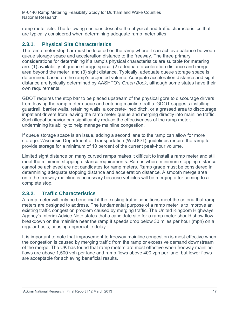ramp meter site. The following sections describe the physical and traffic characteristics that are typically considered when determining adequate ramp meter sites.

# **2.3.1. Physical Site Characteristics**

The ramp meter stop bar must be located on the ramp where it can achieve balance between queue storage space and acceleration distance to the freeway. The three primary considerations for determining if a ramp's physical characteristics are suitable for metering are: (1) availability of queue storage space, (2) adequate acceleration distance and merge area beyond the meter, and (3) sight distance. Typically, adequate queue storage space is determined based on the ramp's projected volume. Adequate acceleration distance and sight distance are typically determined by AASHTO's *Green Book*, although some states have their own requirements.

GDOT requires the stop bar to be placed upstream of the physical gore to discourage drivers from leaving the ramp meter queue and entering mainline traffic. GDOT suggests installing guardrail, barrier walls, retaining walls, a concrete-lined ditch, or a grassed area to discourage impatient drivers from leaving the ramp meter queue and merging directly into mainline traffic. Such illegal behavior can significantly reduce the effectiveness of the ramp meter, undermining its ability to help manage mainline congestion.

If queue storage space is an issue, adding a second lane to the ramp can allow for more storage. Wisconsin Department of Transportation (WisDOT) guidelines require the ramp to provide storage for a minimum of 10 percent of the current peak-hour volume.

Limited sight distance on many curved ramps makes it difficult to install a ramp meter and still meet the minimum stopping distance requirements. Ramps where minimum stopping distance cannot be achieved are not candidates for ramp meters. Ramp grade must be considered in determining adequate stopping distance and acceleration distance. A smooth merge area onto the freeway mainline is necessary because vehicles will be merging after coming to a complete stop.

## **2.3.2. Traffic Characteristics**

A ramp meter will only be beneficial if the existing traffic conditions meet the criteria that ramp meters are designed to address. The fundamental purpose of a ramp meter is to improve an existing traffic congestion problem caused by merging traffic. The United Kingdom Highways Agency's Interim Advice Note states that a candidate site for a ramp meter should show flow breakdown on the mainline near the ramp if speeds drop below 30 miles per hour (mph) on a regular basis, causing appreciable delay.

It is important to note that improvement to freeway mainline congestion is most effective when the congestion is caused by merging traffic from the ramp or excessive demand downstream of the merge. The UK has found that ramp meters are most effective when freeway mainline flows are above 1,500 vph per lane and ramp flows above 400 vph per lane, but lower flows are acceptable for achieving beneficial results.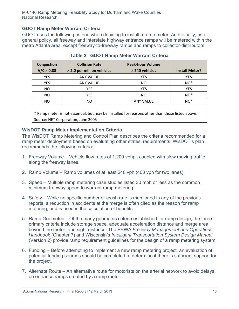## **GDOT Ramp Meter Warrant Criteria**

GDOT uses the following criteria when deciding to install a ramp meter. Additionally, as a general policy, all freeway and interstate highway entrance ramps will be metered within the metro Atlanta area, except freeway-to-freeway ramps and ramps to collector-distributors.

| Congestion                                                                                     | <b>Collision Rate</b>      | <b>Peak-hour Volume</b> |                       |  |  |
|------------------------------------------------------------------------------------------------|----------------------------|-------------------------|-----------------------|--|--|
| V/C > 0.88                                                                                     | > 2.0 per million vehicles | > 240 vehicles          | <b>Install Meter?</b> |  |  |
| <b>YES</b>                                                                                     | <b>ANY VALUE</b>           | YES                     | <b>YES</b>            |  |  |
| <b>YES</b>                                                                                     | <b>ANY VALUE</b>           | NO.                     | NO <sup>*</sup>       |  |  |
| NO.                                                                                            | <b>YES</b>                 | <b>YES</b>              | <b>YES</b>            |  |  |
| NO.                                                                                            | <b>YES</b>                 | NO.                     | NO <sup>*</sup>       |  |  |
| NO.                                                                                            | NO.                        | <b>ANY VALUE</b>        | NO <sup>*</sup>       |  |  |
| * Ramp meter is not essential, but may be installed for reasons other than those listed above. |                            |                         |                       |  |  |

**Table 2. GDOT Ramp Meter Warrant Criteria** 

\* Ramp meter is not essential, but may be installed for reasons other than those listed above. Source: NET Corporation, June 2005

### **WisDOT Ramp Meter Implementation Criteria**

The WisDOT Ramp Metering and Control Plan describes the criteria recommended for a ramp meter deployment based on evaluating other states' requirements. WisDOT's plan recommends the following criteria:

- 1. Freeway Volume Vehicle flow rates of 1,200 vphpl, coupled with slow moving traffic along the freeway lanes.
- 2. Ramp Volume Ramp volumes of at least 240 vph (400 vph for two lanes).
- 3. Speed Multiple ramp metering case studies listed 30 mph or less as the common minimum freeway speed to warrant ramp metering.
- 4. Safety While no specific number or crash rate is mentioned in any of the previous reports, a reduction in accidents at the merge is often cited as the reason for ramp metering, and is used in the calculation of benefits.
- 5. Ramp Geometric Of the many geometric criteria established for ramp design, the three primary criteria include storage space, adequate acceleration distance and merge area beyond the meter, and sight distance. The FHWA *Freeway Management and Operations Handbook* (Chapter 7) and Wisconsin's *Intelligent Transportation System Design Manual* (Version 2) provide ramp requirement guidelines for the design of a ramp metering system.
- 6. Funding Before attempting to implement a new ramp metering project, an evaluation of potential funding sources should be completed to determine if there is sufficient support for the project.
- 7. Alternate Route An alternative route for motorists on the arterial network to avoid delays on entrance ramps created by a ramp meter.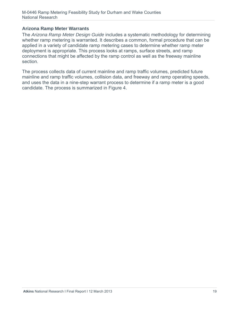### **Arizona Ramp Meter Warrants**

The *Arizona Ramp Meter Design Guide* includes a systematic methodology for determining whether ramp metering is warranted. It describes a common, formal procedure that can be applied in a variety of candidate ramp metering cases to determine whether ramp meter deployment is appropriate. This process looks at ramps, surface streets, and ramp connections that might be affected by the ramp control as well as the freeway mainline section.

The process collects data of current mainline and ramp traffic volumes, predicted future mainline and ramp traffic volumes, collision data, and freeway and ramp operating speeds, and uses the data in a nine-step warrant process to determine if a ramp meter is a good candidate. The process is summarized in Figure 4.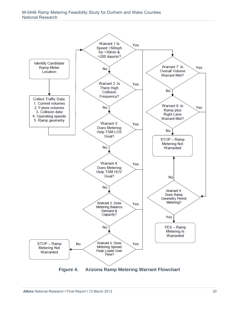#### M-0446 Ramp Metering Feasibility Study for Durham and Wake Counties National Research

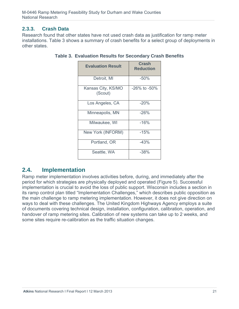## **2.3.3. Crash Data**

Research found that other states have not used crash data as justification for ramp meter installations. Table 3 shows a summary of crash benefits for a select group of deployments in other states.

| <b>Evaluation Result</b>      | <b>Crash</b><br><b>Reduction</b> |
|-------------------------------|----------------------------------|
| Detroit, MI                   | $-50%$                           |
| Kansas City, KS/MO<br>(Scout) | -26% to -50%                     |
| Los Angeles, CA               | $-20%$                           |
| Minneapolis, MN               | $-26%$                           |
| Milwaukee, WI                 | $-16%$                           |
| New York (INFORM)             | $-15%$                           |
| Portland, OR                  | $-43%$                           |
| Seattle, WA                   | $-38%$                           |

## **Table 3. Evaluation Results for Secondary Crash Benefits**

# **2.4. Implementation**

Ramp meter implementation involves activities before, during, and immediately after the period for which strategies are physically deployed and operated (Figure 5). Successful implementation is crucial to avoid the loss of public support. Wisconsin includes a section in its ramp control plan titled "Implementation Challenges," which describes public opposition as the main challenge to ramp metering implementation. However, it does not give direction on ways to deal with these challenges. The United Kingdom Highways Agency employs a suite of documents covering technical design, installation, configuration, calibration, operation, and handover of ramp metering sites. Calibration of new systems can take up to 2 weeks, and some sites require re-calibration as the traffic situation changes.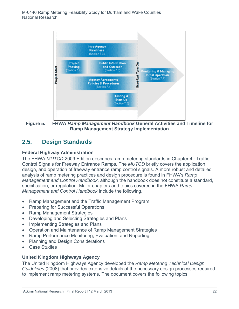

**Figure 5. FHWA** *Ramp Management Handbook* **General Activities and Timeline for Ramp Management Strategy Implementation** 

# **2.5. Design Standards**

## **Federal Highway Administration**

The FHWA *MUTCD* 2009 Edition describes ramp metering standards in Chapter 4I: Traffic Control Signals for Freeway Entrance Ramps. The *MUTCD* briefly covers the application, design, and operation of freeway entrance ramp control signals. A more robust and detailed analysis of ramp metering practices and design procedure is found in FHWA's *Ramp Management and Control Handbook*, although the handbook does not constitute a standard, specification, or regulation. Major chapters and topics covered in the FHWA *Ramp Management and Control Handbook* include the following.

- Ramp Management and the Traffic Management Program
- Preparing for Successful Operations
- Ramp Management Strategies
- Developing and Selecting Strategies and Plans
- Implementing Strategies and Plans
- Operation and Maintenance of Ramp Management Strategies
- Ramp Performance Monitoring, Evaluation, and Reporting
- Planning and Design Considerations
- Case Studies

## **United Kingdom Highways Agency**

The United Kingdom Highways Agency developed the *Ramp Metering Technical Design Guidelines* (2008) that provides extensive details of the necessary design processes required to implement ramp metering systems. The document covers the following topics: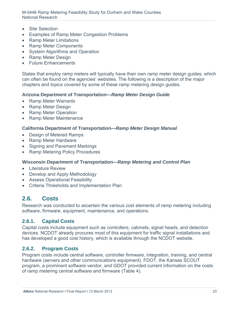M-0446 Ramp Metering Feasibility Study for Durham and Wake Counties National Research

- Site Selection
- Examples of Ramp Meter Congestion Problems
- Ramp Meter Limitations
- Ramp Meter Components
- System Algorithms and Operation
- Ramp Meter Design
- Future Enhancements

States that employ ramp meters will typically have their own ramp meter design guides, which can often be found on the agencies' websites. The following is a description of the major chapters and topics covered by some of these ramp metering design guides.

#### **Arizona Department of Transportation—***Ramp Meter Design Guide*

- Ramp Meter Warrants
- Ramp Meter Design
- Ramp Meter Operation
- Ramp Meter Maintenance

#### **California Department of Transportation—***Ramp Meter Design Manual*

- Design of Metered Ramps
- Ramp Meter Hardware
- Signing and Pavement Markings
- Ramp Metering Policy Procedures

### **Wisconsin Department of Transportation—***Ramp Metering and Control Plan*

- Literature Review
- Develop and Apply Methodology
- Assess Operational Feasibility
- Criteria Thresholds and Implementation Plan

# **2.6. Costs**

Research was conducted to ascertain the various cost elements of ramp metering including software, firmware, equipment, maintenance, and operations.

### **2.6.1. Capital Costs**

Capital costs include equipment such as controllers, cabinets, signal heads, and detection devices. NCDOT already procures most of this equipment for traffic signal installations and has developed a good cost history, which is available through the NCDOT website.

## **2.6.2. Program Costs**

Program costs include central software, controller firmware, integration, training, and central hardware (servers and other communications equipment). FDOT, the Kansas SCOUT program, a prominent software vendor, and GDOT provided current information on the costs of ramp metering central software and firmware (Table 4).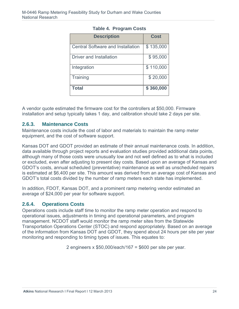| <b>Description</b>                       | <b>Cost</b> |
|------------------------------------------|-------------|
| <b>Central Software and Installation</b> | \$135,000   |
| Driver and Installation                  | \$95,000    |
| Integration                              | \$110,000   |
| Training                                 | \$20,000    |
| <b>Total</b>                             | \$360,000   |

## **Table 4. Program Costs**

A vendor quote estimated the firmware cost for the controllers at \$50,000. Firmware installation and setup typically takes 1 day, and calibration should take 2 days per site.

## **2.6.3. Maintenance Costs**

Maintenance costs include the cost of labor and materials to maintain the ramp meter equipment, and the cost of software support.

Kansas DOT and GDOT provided an estimate of their annual maintenance costs. In addition, data available through project reports and evaluation studies provided additional data points, although many of those costs were unusually low and not well defined as to what is included or excluded, even after adjusting to present day costs. Based upon an average of Kansas and GDOT's costs, annual scheduled (preventative) maintenance as well as unscheduled repairs is estimated at \$6,400 per site. This amount was derived from an average cost of Kansas and GDOT's total costs divided by the number of ramp meters each state has implemented.

In addition, FDOT, Kansas DOT, and a prominent ramp metering vendor estimated an average of \$24,000 per year for software support.

# **2.6.4. Operations Costs**

Operations costs include staff time to monitor the ramp meter operation and respond to operational issues, adjustments in timing and operational parameters, and program management. NCDOT staff would monitor the ramp meter sites from the Statewide Transportation Operations Center (STOC) and respond appropriately. Based on an average of the information from Kansas DOT and GDOT, they spend about 24 hours per site per year monitoring and responding to timing types of issues. This equates to:

2 engineers x \$50,000/each/167 = \$600 per site per year.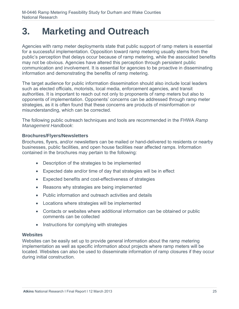# **3. Marketing and Outreach**

Agencies with ramp meter deployments state that public support of ramp meters is essential for a successful implementation. Opposition toward ramp metering usually stems from the public's perception that delays occur because of ramp metering, while the associated benefits may not be obvious. Agencies have altered this perception through persistent public communication and involvement. It is essential for agencies to be proactive in disseminating information and demonstrating the benefits of ramp metering.

The target audience for public information dissemination should also include local leaders such as elected officials, motorists, local media, enforcement agencies, and transit authorities. It is important to reach out not only to proponents of ramp meters but also to opponents of implementation. Opponents' concerns can be addressed through ramp meter strategies, as it is often found that these concerns are products of misinformation or misunderstanding, which can be corrected.

The following public outreach techniques and tools are recommended in the FHWA *Ramp Management Handbook*:

### **Brochures/Flyers/Newsletters**

Brochures, flyers, and/or newsletters can be mailed or hand-delivered to residents or nearby businesses, public facilities, and open house facilities near affected ramps. Information contained in the brochures may pertain to the following:

- Description of the strategies to be implemented
- Expected date and/or time of day that strategies will be in effect
- Expected benefits and cost-effectiveness of strategies
- Reasons why strategies are being implemented
- Public information and outreach activities and details
- Locations where strategies will be implemented
- Contacts or websites where additional information can be obtained or public comments can be collected
- Instructions for complying with strategies

### **Websites**

Websites can be easily set up to provide general information about the ramp metering implementation as well as specific information about projects where ramp meters will be located. Websites can also be used to disseminate information of ramp closures if they occur during initial construction.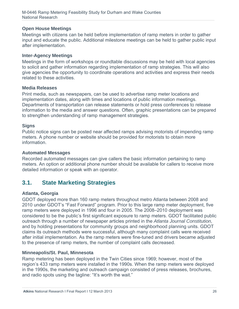## **Open House Meetings**

Meetings with citizens can be held before implementation of ramp meters in order to gather input and educate the public. Additional milestone meetings can be held to gather public input after implementation.

### **Inter-Agency Meetings**

Meetings in the form of workshops or roundtable discussions may be held with local agencies to solicit and gather information regarding implementation of ramp strategies. This will also give agencies the opportunity to coordinate operations and activities and express their needs related to these activities.

### **Media Releases**

Print media, such as newspapers, can be used to advertise ramp meter locations and implementation dates, along with times and locations of public information meetings. Departments of transportation can release statements or hold press conferences to release information to the media and answer questions. Often, graphic presentations can be prepared to strengthen understanding of ramp management strategies.

### **Signs**

Public notice signs can be posted near affected ramps advising motorists of impending ramp meters. A phone number or website should be provided for motorists to obtain more information.

### **Automated Messages**

Recorded automated messages can give callers the basic information pertaining to ramp meters. An option or additional phone number should be available for callers to receive more detailed information or speak with an operator.

# **3.1. State Marketing Strategies**

## **Atlanta, Georgia**

GDOT deployed more than 160 ramp meters throughout metro Atlanta between 2008 and 2010 under GDOT's "Fast Forward" program. Prior to this large ramp meter deployment, five ramp meters were deployed in 1996 and four in 2005. The 2008–2010 deployment was considered to be the public's first significant exposure to ramp meters. GDOT facilitated public outreach through a number of newspaper articles printed in the *Atlanta Journal Constitution,* and by holding presentations for community groups and neighborhood planning units. GDOT claims its outreach methods were successful, although many complaint calls were received after initial implementation. As the ramp meters were fine-tuned and drivers became adjusted to the presence of ramp meters, the number of complaint calls decreased.

### **Minneapolis/St. Paul, Minnesota**

Ramp metering has been deployed in the Twin Cities since 1969; however, most of the region's 433 ramp meters were installed in the 1990s. When the ramp meters were deployed in the 1990s, the marketing and outreach campaign consisted of press releases, brochures, and radio spots using the tagline: "It's worth the wait."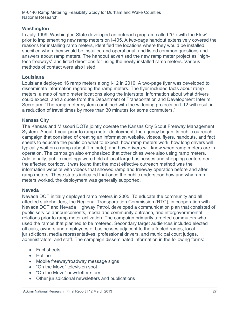### **Washington**

In July 1999, Washington State developed an outreach program called "Go with the Flow" prior to implementing new ramp meters on I-405. A two-page handout extensively covered the reasons for installing ramp meters, identified the locations where they would be installed, specified when they would be installed and operational, and listed common questions and answers about ramp meters. The handout advertised the new ramp meter project as "hightech freeways" and listed directions for using the newly installed ramp meters. Various methods of contact were also listed.

### **Louisiana**

Louisiana deployed 16 ramp meters along I-12 in 2010. A two-page flyer was developed to disseminate information regarding the ramp meters. The flyer included facts about ramp meters, a map of ramp meter locations along the interstate, information about what drivers could expect, and a quote from the Department of Transportation and Development Interim Secretary: "The ramp meter system combined with the widening projects on I-12 will result in a reduction of travel times by more than 30 minutes for some commuters."

## **Kansas City**

The Kansas and Missouri DOTs jointly operate the Kansas City Scout Freeway Management System. About 1 year prior to ramp meter deployment, the agency began its public outreach campaign that consisted of creating an information website, videos, flyers, handouts, and fact sheets to educate the public on what to expect, how ramp meters work, how long drivers will typically wait on a ramp (about 1 minute), and how drivers will know when ramp meters are in operation. The campaign also emphasized that other cities were also using ramp meters. Additionally, public meetings were held at local large businesses and shopping centers near the affected corridor. It was found that the most effective outreach method was the information website with videos that showed ramp and freeway operation before and after ramp meters. These states indicated that once the public understood how and why ramp meters worked, the deployment was generally supported.

### **Nevada**

Nevada DOT initially deployed ramp meters in 2005. To educate the community and all affected stakeholders, the Regional Transportation Commission (RTC), in cooperation with Nevada DOT and Nevada Highway Patrol, developed a communication plan that consisted of public service announcements, media and community outreach, and intergovernmental relations prior to ramp meter activation. The campaign primarily targeted commuters who used the ramps that planned to be metered. Secondary target audiences included elected officials, owners and employees of businesses adjacent to the affected ramps, local jurisdictions, media representatives, professional drivers, and municipal court judges, administrators, and staff. The campaign disseminated information in the following forms:

- Fact sheets
- Hotline
- Mobile freeway/roadway message signs
- "On the Move" television spot
- "On the Move" newsletter story
- Other jurisdictional newsletters and publications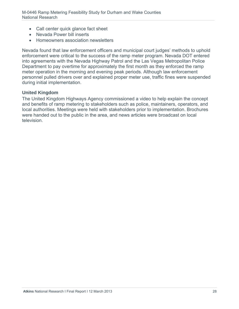- Call center quick glance fact sheet
- Nevada Power bill inserts
- Homeowners association newsletters

Nevada found that law enforcement officers and municipal court judges' methods to uphold enforcement were critical to the success of the ramp meter program. Nevada DOT entered into agreements with the Nevada Highway Patrol and the Las Vegas Metropolitan Police Department to pay overtime for approximately the first month as they enforced the ramp meter operation in the morning and evening peak periods. Although law enforcement personnel pulled drivers over and explained proper meter use, traffic fines were suspended during initial implementation.

#### **United Kingdom**

The United Kingdom Highways Agency commissioned a video to help explain the concept and benefits of ramp metering to stakeholders such as police, maintainers, operators, and local authorities. Meetings were held with stakeholders prior to implementation. Brochures were handed out to the public in the area, and news articles were broadcast on local television.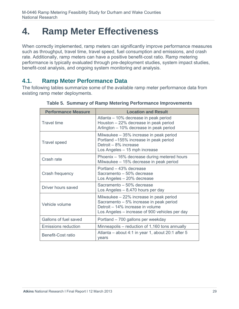# **4. Ramp Meter Effectiveness**

When correctly implemented, ramp meters can significantly improve performance measures such as throughput, travel time, travel speed, fuel consumption and emissions, and crash rate. Additionally, ramp meters can have a positive benefit-cost ratio. Ramp metering performance is typically evaluated through pre-deployment studies, system impact studies, benefit-cost analysis, and ongoing system monitoring and analysis.

# **4.1. Ramp Meter Performance Data**

The following tables summarize some of the available ramp meter performance data from existing ramp meter deployments.

| <b>Performance Measure</b> | <b>Location and Result</b>                                                                                                                                               |
|----------------------------|--------------------------------------------------------------------------------------------------------------------------------------------------------------------------|
| <b>Travel time</b>         | Atlanta – 10% decrease in peak period<br>Houston - 22% decrease in peak period<br>Arlington - 10% decrease in peak period                                                |
| <b>Travel speed</b>        | Milwaukee - 35% increase in peak period<br>Portland -155% increase in peak period<br>Detroit – 8% increase<br>Los Angeles – 15 mph increase                              |
| Crash rate                 | Phoenix – 16% decrease during metered hours<br>Milwaukee - 15% decrease in peak period                                                                                   |
| Crash frequency            | Portland - 43% decrease<br>Sacramento - 50% decrease<br>Los Angeles - 20% decrease                                                                                       |
| Driver hours saved         | Sacramento - 50% decrease<br>Los Angeles $-8,470$ hours per day                                                                                                          |
| Vehicle volume             | Milwaukee - 22% increase in peak period<br>Sacramento - 5% increase in peak period<br>Detroit - 14% increase in volume<br>Los Angeles – increase of 900 vehicles per day |
| Gallons of fuel saved      | Portland - 700 gallons per weekday                                                                                                                                       |
| <b>Emissions reduction</b> | Minneapolis – reduction of 1,160 tons annually                                                                                                                           |
| <b>Benefit-Cost ratio</b>  | Atlanta – about 4:1 in year 1, about 20:1 after 5<br>years                                                                                                               |

**Table 5. Summary of Ramp Metering Performance Improvements**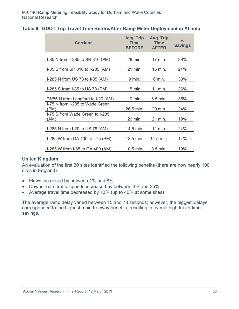|  |  |  |  |  |  |  |  | Table 6. GDOT Trip Travel Time Before/After Ramp Meter Deployment in Atlanta |  |
|--|--|--|--|--|--|--|--|------------------------------------------------------------------------------|--|
|--|--|--|--|--|--|--|--|------------------------------------------------------------------------------|--|

| <b>Corridor</b>                         | Avg. Trip<br><b>Time</b><br><b>BEFORE</b> | Avg. Trip<br><b>Time</b><br><b>AFTER</b> | $\frac{0}{0}$<br><b>Savings</b> |
|-----------------------------------------|-------------------------------------------|------------------------------------------|---------------------------------|
| I-85 N from I-285 to SR 316 (PM)        | 28 min.                                   | 17 min.                                  | 39%                             |
| I-85 S from SR 316 to I-285 (AM)        | 21 min.                                   | 16 min.                                  | 24%                             |
| I-285 N from US 78 to I-85 (AM)         | 9 min.                                    | 6 min.                                   | 33%                             |
| I-285 S from I-85 to US 78 (PM)         | 15 min.                                   | 11 min.                                  | 26%                             |
| 75/85 N from Langford to I-20 (AM)      | 10 min.                                   | 6.5 min.                                 | 35%                             |
| I-75 N from I-285 to Wade Green<br>(PM) | 26.5 min.                                 | 20 min.                                  | 24%                             |
| I-75 S from Wade Green to I-285<br>(AM) | 26 min.                                   | 21 min.                                  | 19%                             |
| I-285 N from I-20 to US 78 (AM)         | 14.5 min.                                 | 11 min.                                  | 24%                             |
| I-285 W from GA 400 to I-75 (PM)        | 13.5 min.                                 | 11.5 min.                                | 14%                             |
| I-285 W from I-85 to GA 400 (AM)        | 10.5 min.                                 | 8.5 min.                                 | 19%                             |

### **United Kingdom**

An evaluation of the first 30 sites identified the following benefits (there are now nearly 100 sites in England):

- Flows increased by between 1% and 8%
- Downstream traffic speeds increased by between 3% and 35%
- Average travel time decreased by 13% (up to 40% at some sites)

The average ramp delay varied between 15 and 78 seconds; however, the biggest delays corresponded to the highest main freeway benefits, resulting in overall high travel-time savings.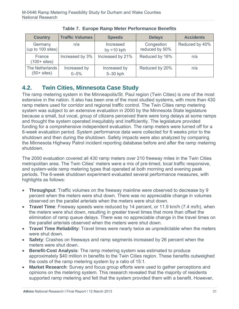| <b>Country</b>                       | <b>Traffic Volumes</b>   | <b>Speeds</b>             | <b>Delays</b>                | <b>Accidents</b> |
|--------------------------------------|--------------------------|---------------------------|------------------------------|------------------|
| Germany<br>$ $ (up to 100 sites) $ $ | n/a                      | Increased<br>by $>10$ kph | Congestion<br>reduced by 50% | Reduced by 40%   |
| France<br>$(100 + \text{sites})$     | Increased by 3%          | Increased by 21%          | Reduced by 16%               | n/a              |
| The Netherlands<br>$(50 + sites)$    | Increased by<br>$0 - 5%$ | Increased by<br>5-30 kph  | Reduced by 20%               | n/a              |

**Table 7. Europe Ramp Meter Performance Benefits** 

# **4.2. Twin Cities, Minnesota Case Study**

The ramp metering system in the Minneapolis/St. Paul region (Twin Cities) is one of the most extensive in the nation. It also has been one of the most studied systems, with more than 430 ramp meters used for corridor and regional traffic control. The Twin Cities ramp metering system was subject to an extensive evaluation in 2000 by the Minnesota State legislature because a small, but vocal, group of citizens perceived there were long delays at some ramps and thought the system operated inequitably and inefficiently. The legislature provided funding for a comprehensive independent evaluation. The ramp meters were turned off for a 6-week evaluation period. System performance data were collected for 6 weeks prior to the shutdown and then during the shutdown. Safety impacts were also analyzed by comparing the Minnesota Highway Patrol incident reporting database before and after the ramp metering shutdown.

The 2000 evaluation covered all 430 ramp meters over 210 freeway miles in the Twin Cities metropolitan area. The Twin Cities' meters were a mix of pre-timed, local traffic responsive, and system-wide ramp metering types that operated at both morning and evening peak periods. The 6-week shutdown experiment evaluated several performance measures, with highlights as follows:

- **Throughput**: Traffic volumes on the freeway mainline were observed to decrease by 9 percent when the meters were shut down. There was no appreciable change in volumes observed on the parallel arterials when the meters were shut down.
- **Travel Time**: Freeway speeds were reduced by 14 percent, or 11.9 km/h (7.4 mi/h), when the meters were shut down, resulting in greater travel times that more than offset the elimination of ramp queue delays. There was no appreciable change in the travel times on the parallel arterials observed when the meters were shut down.
- **Travel Time Reliability**: Travel times were nearly twice as unpredictable when the meters were shut down.
- **Safety**: Crashes on freeways and ramp segments increased by 26 percent when the meters were shut down.
- **Benefit-Cost Analysis**: The ramp metering system was estimated to produce approximately \$40 million in benefits to the Twin Cities region. These benefits outweighed the costs of the ramp metering system by a ratio of 15:1.
- **Market Research**: Survey and focus group efforts were used to gather perceptions and opinions on the metering system. This research revealed that the majority of residents supported ramp metering and felt that the system provided them with a benefit. However,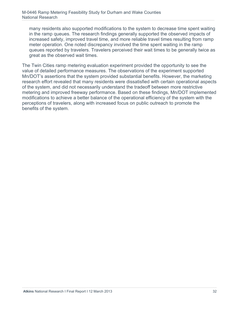many residents also supported modifications to the system to decrease time spent waiting in the ramp queues. The research findings generally supported the observed impacts of increased safety, improved travel time, and more reliable travel times resulting from ramp meter operation. One noted discrepancy involved the time spent waiting in the ramp queues reported by travelers. Travelers perceived their wait times to be generally twice as great as the observed wait times.

The Twin Cities ramp metering evaluation experiment provided the opportunity to see the value of detailed performance measures. The observations of the experiment supported Mn/DOT's assertions that the system provided substantial benefits. However, the marketing research effort revealed that many residents were dissatisfied with certain operational aspects of the system, and did not necessarily understand the tradeoff between more restrictive metering and improved freeway performance. Based on these findings, Mn/DOT implemented modifications to achieve a better balance of the operational efficiency of the system with the perceptions of travelers, along with increased focus on public outreach to promote the benefits of the system.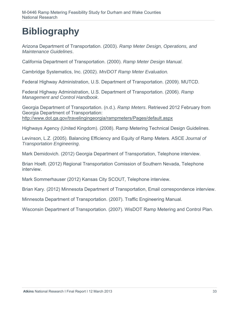# **Bibliography**

Arizona Department of Transportation. (2003). *Ramp Meter Design, Operations, and Maintenance Guidelines*.

California Department of Transportation. (2000). *Ramp Meter Design Manual*.

Cambridge Systematics, Inc. (2002). *Mn/DOT Ramp Meter Evaluation.*

Federal Highway Administration, U.S. Department of Transportation. (2009). MUTCD.

Federal Highway Administration, U.S. Department of Transportation. (2006). *Ramp Management and Control Handbook*.

Georgia Department of Transportation. (n.d.). *Ramp Meters*. Retrieved 2012 February from Georgia Department of Transportation: http://www.dot.ga.gov/travelingingeorgia/rampmeters/Pages/default.aspx

Highways Agency (United Kingdom). (2008). Ramp Metering Technical Design Guidelines.

Levinson, L.Z. (2005). Balancing Efficiency and Equity of Ramp Meters. ASCE *Journal of Transportation Engineering*.

Mark Demidovich. (2012) Georgia Department of Transportation, Telephone interview.

Brian Hoeft. (2012) Regional Transportation Comission of Southern Nevada, Telephone interview.

Mark Sommerhauser (2012) Kansas City SCOUT, Telephone interview.

Brian Kary. (2012) Minnesota Department of Transportation, Email correspondence interview.

Minnesota Department of Transportation. (2007). Traffic Engineering Manual.

Wisconsin Department of Transportation. (2007). WisDOT Ramp Metering and Control Plan.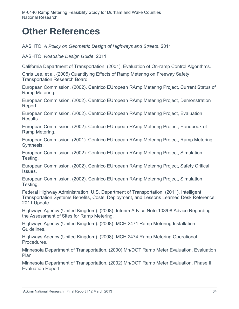# **Other References**

AASHTO, *A Policy on Geometric Design of Highways and Streets*, 2011

AASHTO. *Roadside Design Guide*, 2011

California Department of Transportation. (2001). Evaluation of On-ramp Control Algorithms.

Chris Lee, et al. (2005) Quantifying Effects of Ramp Metering on Freeway Safety Transportation Research Board.

European Commission. (2002). Centrico EUropean RAmp Metering Project, Current Status of Ramp Metering.

European Commission. (2002). Centrico EUropean RAmp Metering Project, Demonstration Report.

European Commission. (2002). Centrico EUropean RAmp Metering Project, Evaluation Results.

European Commission. (2002). Centrico EUropean RAmp Metering Project, Handbook of Ramp Metering.

European Commission. (2001). Centrico EUropean RAmp Metering Project, Ramp Metering Synthesis.

European Commission. (2002). Centrico EUropean RAmp Metering Project, Simulation Testing.

European Commission. (2002). Centrico EUropean RAmp Metering Project, Safety Critical Issues.

European Commission. (2002). Centrico EUropean RAmp Metering Project, Simulation Testing.

Federal Highway Administration, U.S. Department of Transportation. (2011). Intelligent Transportation Systems Benefits, Costs, Deployment, and Lessons Learned Desk Reference: 2011 Update

Highways Agency (United Kingdom). (2008). Interim Advice Note 103/08 Advice Regarding the Assessment of Sites for Ramp Metering.

Highways Agency (United Kingdom). (2008). MCH 2471 Ramp Metering Installation Guidelines.

Highways Agency (United Kingdom). (2008). MCH 2474 Ramp Metering Operational Procedures.

Minnesota Department of Transportation. (2000) Mn/DOT Ramp Meter Evaluation, Evaluation Plan.

Minnesota Department of Transportation. (2002) Mn/DOT Ramp Meter Evaluation, Phase II Evaluation Report.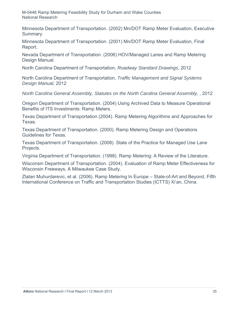Minnesota Department of Transportation. (2002) Mn/DOT Ramp Meter Evaluation, Executive Summary.

Minnesota Department of Transportation. (2001) Mn/DOT Ramp Meter Evaluation, Final Report.

Nevada Department of Transportation. (2006) HOV/Managed Lanes and Ramp Metering Design Manual.

North Carolina Department of Transportation, *Roadway Standard Drawings*, 2012

North Carolina Department of Transportation, *Traffic Management and Signal Systems Design Manual*, 2012

*North Carolina General Assembly, Statutes on the North Carolina General Assembly, 2012* 

Oregon Department of Transportation. (2004) Using Archived Data to Measure Operational Benefits of ITS Investments: Ramp Meters.

Texas Department of Transportation (2004). Ramp Metering Algorithms and Approaches for Texas.

Texas Department of Transportation. (2000). Ramp Metering Design and Operations Guidelines for Texas.

Texas Department of Transportation. (2008). State of the Practice for Managed Use Lane Projects.

Virginia Department of Transportation. (1998). Ramp Metering: A Review of the Literature.

Wisconsin Department of Transportation. (2004). Evaluation of Ramp Meter Effectiveness for Wisconsin Freeways, A Milwaukee Case Study.

Zlatan Muhurdarevic, et al. (2006). Ramp Metering In Europe – State-of-Art and Beyond, Fifth International Conference on Traffic and Transportation Studies (ICTTS) Xi'an, China.